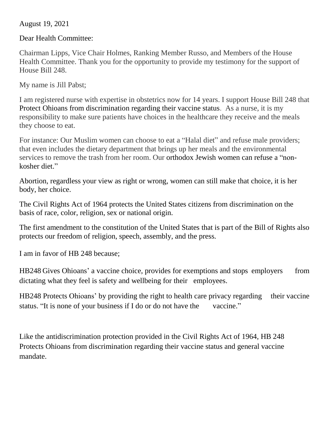August 19, 2021

Dear Health Committee:

Chairman Lipps, Vice Chair Holmes, Ranking Member Russo, and Members of the House Health Committee. Thank you for the opportunity to provide my testimony for the support of House Bill 248.

My name is Jill Pabst;

I am registered nurse with expertise in obstetrics now for 14 years. I support House Bill 248 that Protect Ohioans from discrimination regarding their vaccine status. As a nurse, it is my responsibility to make sure patients have choices in the healthcare they receive and the meals they choose to eat.

For instance: Our Muslim women can choose to eat a "Halal diet" and refuse male providers; that even includes the dietary department that brings up her meals and the environmental services to remove the trash from her room. Our orthodox Jewish women can refuse a "nonkosher diet."

Abortion, regardless your view as right or wrong, women can still make that choice, it is her body, her choice.

The Civil Rights Act of 1964 protects the United States citizens from discrimination on the basis of race, color, religion, sex or national origin.

The first amendment to the constitution of the United States that is part of the Bill of Rights also protects our freedom of religion, speech, assembly, and the press.

I am in favor of HB 248 because;

HB248 Gives Ohioans' a vaccine choice, provides for exemptions and stops employers from dictating what they feel is safety and wellbeing for their employees.

HB248 Protects Ohioans' by providing the right to health care privacy regarding their vaccine status. "It is none of your business if I do or do not have the vaccine."

Like the antidiscrimination protection provided in the Civil Rights Act of 1964, HB 248 Protects Ohioans from discrimination regarding their vaccine status and general vaccine mandate.